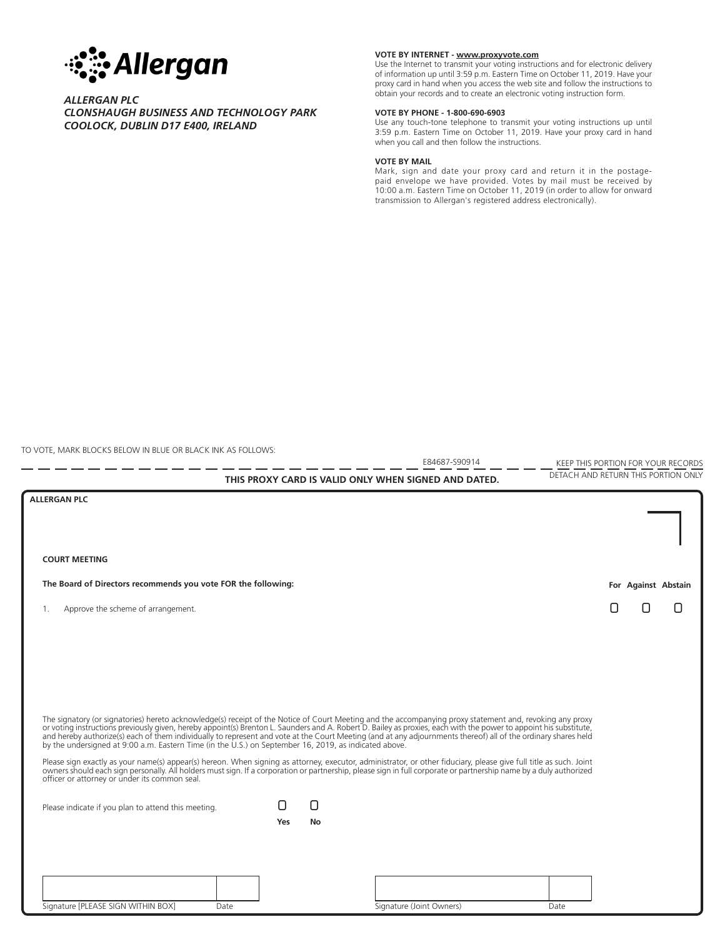

## *ALLERGAN PLC CLONSHAUGH BUSINESS AND TECHNOLOGY PARK COOLOCK, DUBLIN D17 E400, IRELAND*

### **VOTE BY INTERNET - www.proxyvote.com**

Use the Internet to transmit your voting instructions and for electronic delivery of information up until 3:59 p.m. Eastern Time on October 11, 2019. Have your proxy card in hand when you access the web site and follow the instructions to obtain your records and to create an electronic voting instruction form.

#### **VOTE BY PHONE - 1-800-690-6903**

Use any touch-tone telephone to transmit your voting instructions up until 3:59 p.m. Eastern Time on October 11, 2019. Have your proxy card in hand when you call and then follow the instructions.

#### **VOTE BY MAIL**

Mark, sign and date your proxy card and return it in the postagepaid envelope we have provided. Votes by mail must be received by 10:00 a.m. Eastern Time on October 11, 2019 (in order to allow for onward transmission to Allergan's registered address electronically).

TO VOTE, MARK BLOCKS BELOW IN BLUE OR BLACK INK AS FOLLOWS:

Signature [PLEASE SIGN WITHIN BOX] Date Date Signature (Joint Owners) Date KEEP THIS PORTION FOR YOUR RECORDS<br>DETACH AND RETURN THIS PORTION ONLY THIS PROXY CARD IS VALID ONLY WHEN SIGNED AND DATED. E84687-S90914 1. Approve the scheme of arrangement. The signatory (or signatories) hereto acknowledge(s) receipt of the Notice of Court Meeting and the accompanying proxy statement and, revoking any proxy<br>or voting instructions previously given, hereby appoint(s) Brenton L. by the undersigned at 9:00 a.m. Eastern Time (in the U.S.) on September 16, 2019, as indicated above. Please sign exactly as your name(s) appear(s) hereon. When signing as attorney, executor, administrator, or other fiduciary, please give full title as such. Joint owners should each sign personally. All holders must sign. If a corporation or partnership, please sign in full corporate or partnership name by a duly authorized officer or attorney or under its common seal. Please indicate if you plan to attend this meeting. **For Against Abstain** ! ! ! ! ! ! ! ! ! **ALLERGAN PLC The Board of Directors recommends you vote FOR the following:** ! ! **Yes No COURT MEETING**